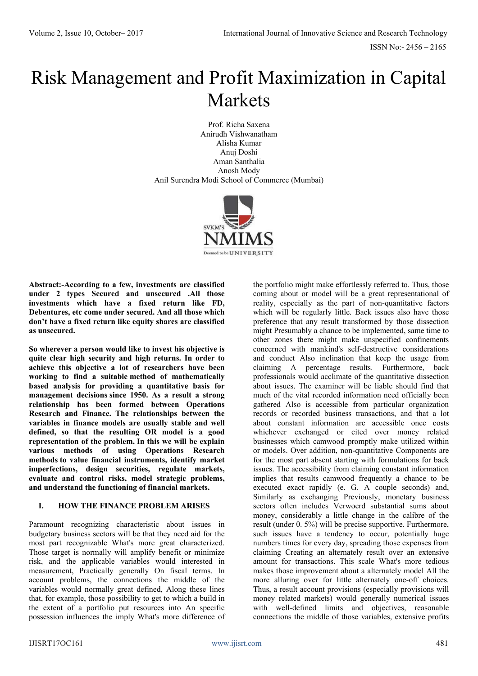# Risk Management and Profit Maximization in Capital Markets

Prof. Richa Saxena Anirudh Vishwanatham Alisha Kumar Anuj Doshi Aman Santhalia Anosh Mody Anil Surendra Modi School of Commerce (Mumbai)



**Abstract:-According to a few, investments are classified under 2 types Secured and unsecured .All those investments which have a fixed return like FD, Debentures, etc come under secured. And all those which don't have a fixed return like equity shares are classified as unsecured.**

**So wherever a person would like to invest his objective is quite clear high security and high returns. In order to achieve this objective a lot of researchers have been working to find a suitable method of mathematically based analysis for providing a quantitative basis for management decisions since 1950. As a result a strong relationship has been formed between Operations Research and Finance. The relationships between the variables in finance models are usually stable and well defined, so that the resulting OR model is a good representation of the problem. In this we will be explain various methods of using Operations Research methods to value financial instruments, identify market imperfections, design securities, regulate markets, evaluate and control risks, model strategic problems, and understand the functioning of financial markets.**

# **I. HOW THE FINANCE PROBLEM ARISES**

Paramount recognizing characteristic about issues in budgetary business sectors will be that they need aid for the most part recognizable What's more great characterized. Those target is normally will amplify benefit or minimize risk, and the applicable variables would interested in measurement, Practically generally On fiscal terms. In account problems, the connections the middle of the variables would normally great defined, Along these lines that, for example, those possibility to get to which a build in the extent of a portfolio put resources into An specific possession influences the imply What's more difference of

the portfolio might make effortlessly referred to. Thus, those coming about or model will be a great representational of reality, especially as the part of non-quantitative factors which will be regularly little. Back issues also have those preference that any result transformed by those dissection might Presumably a chance to be implemented, same time to other zones there might make unspecified confinements concerned with mankind's self-destructive considerations and conduct Also inclination that keep the usage from claiming A percentage results. Furthermore, back professionals would acclimate of the quantitative dissection about issues. The examiner will be liable should find that much of the vital recorded information need officially been gathered Also is accessible from particular organization records or recorded business transactions, and that a lot about constant information are accessible once costs whichever exchanged or cited over money related businesses which camwood promptly make utilized within or models. Over addition, non-quantitative Components are for the most part absent starting with formulations for back issues. The accessibility from claiming constant information implies that results camwood frequently a chance to be executed exact rapidly (e. G. A couple seconds) and, Similarly as exchanging Previously, monetary business sectors often includes Verwoerd substantial sums about money, considerably a little change in the calibre of the result (under 0. 5%) will be precise supportive. Furthermore, such issues have a tendency to occur, potentially huge numbers times for every day, spreading those expenses from claiming Creating an alternately result over an extensive amount for transactions. This scale What's more tedious makes those improvement about a alternately model All the more alluring over for little alternately one-off choices. Thus, a result account provisions (especially provisions will money related markets) would generally numerical issues with well-defined limits and objectives, reasonable connections the middle of those variables, extensive profits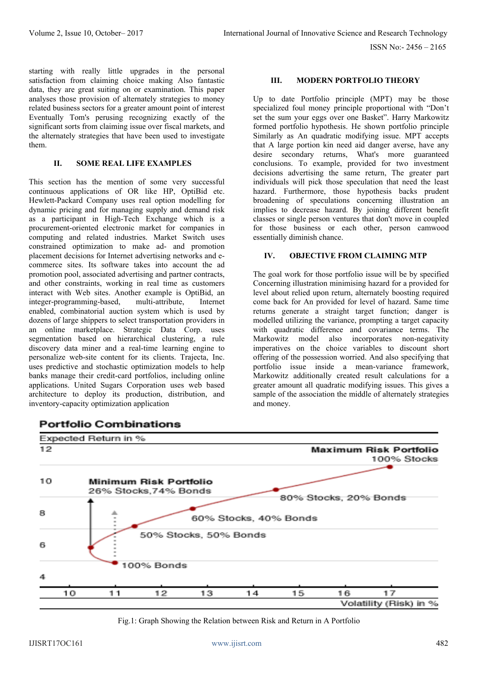ISSN No:- 2456 – 2165

starting with really little upgrades in the personal satisfaction from claiming choice making Also fantastic data, they are great suiting on or examination. This paper analyses those provision of alternately strategies to money related business sectors for a greater amount point of interest Eventually Tom's perusing recognizing exactly of the significant sorts from claiming issue over fiscal markets, and the alternately strategies that have been used to investigate them.

# **II. SOME REAL LIFE EXAMPLES**

This section has the mention of some very successful continuous applications of OR like HP, OptiBid etc. Hewlett-Packard Company uses real option modelling for dynamic pricing and for managing supply and demand risk as a participant in High-Tech Exchange which is a procurement-oriented electronic market for companies in computing and related industries. Market Switch uses constrained optimization to make ad- and promotion placement decisions for Internet advertising networks and ecommerce sites. Its software takes into account the ad promotion pool, associated advertising and partner contracts, and other constraints, working in real time as customers interact with Web sites. Another example is OptiBid, an integer-programming-based, multi-attribute, Internet enabled, combinatorial auction system which is used by dozens of large shippers to select transportation providers in an online marketplace. Strategic Data Corp. uses segmentation based on hierarchical clustering, a rule discovery data miner and a real-time learning engine to personalize web-site content for its clients. Trajecta, Inc. uses predictive and stochastic optimization models to help banks manage their credit-card portfolios, including online applications. United Sugars Corporation uses web based architecture to deploy its production, distribution, and inventory-capacity optimization application

#### **III. MODERN PORTFOLIO THEORY**

Up to date Portfolio principle (MPT) may be those specialized foul money principle proportional with "Don't set the sum your eggs over one Basket". Harry Markowitz formed portfolio hypothesis. He shown portfolio principle Similarly as An quadratic modifying issue. MPT accepts that A large portion kin need aid danger averse, have any desire secondary returns, What's more guaranteed conclusions. To example, provided for two investment decisions advertising the same return, The greater part individuals will pick those speculation that need the least hazard. Furthermore, those hypothesis backs prudent broadening of speculations concerning illustration an implies to decrease hazard. By joining different benefit classes or single person ventures that don't move in coupled for those business or each other, person camwood essentially diminish chance.

#### **IV. OBJECTIVE FROM CLAIMING MTP**

The goal work for those portfolio issue will be by specified Concerning illustration minimising hazard for a provided for level about relied upon return, alternately boosting required come back for An provided for level of hazard. Same time returns generate a straight target function; danger is modelled utilizing the variance, prompting a target capacity with quadratic difference and covariance terms. The Markowitz model also incorporates non-negativity imperatives on the choice variables to discount short offering of the possession worried. And also specifying that portfolio issue inside a mean-variance framework, Markowitz additionally created result calculations for a greater amount all quadratic modifying issues. This gives a sample of the association the middle of alternately strategies and money.



Fig.1: Graph Showing the Relation between Risk and Return in A Portfolio

# **Portfolio Combinations**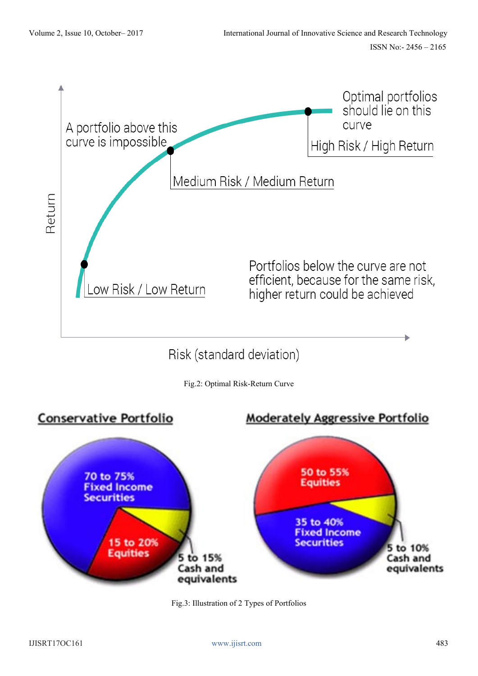

Fig.3: Illustration of 2 Types of Portfolios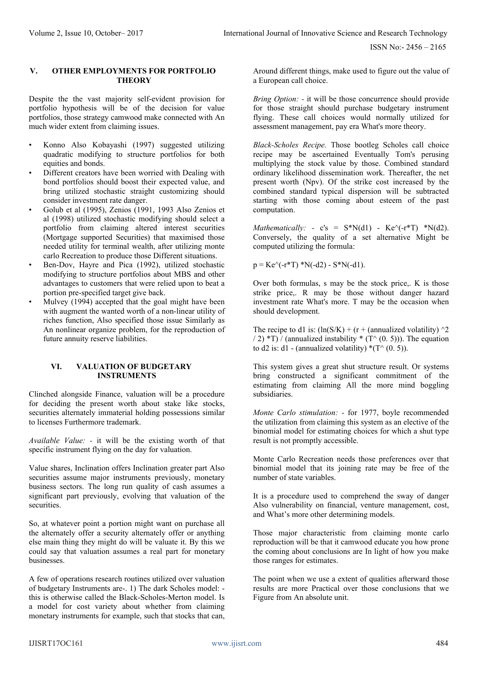#### **V. OTHER EMPLOYMENTS FOR PORTFOLIO THEORY**

Despite the the vast majority self-evident provision for portfolio hypothesis will be of the decision for value portfolios, those strategy camwood make connected with An much wider extent from claiming issues.

- Konno Also Kobayashi (1997) suggested utilizing quadratic modifying to structure portfolios for both equities and bonds.
- Different creators have been worried with Dealing with bond portfolios should boost their expected value, and bring utilized stochastic straight customizing should consider investment rate danger.
- Golub et al (1995), Zenios (1991, 1993 Also Zenios et al (1998) utilized stochastic modifying should select a portfolio from claiming altered interest securities (Mortgage supported Securities) that maximised those needed utility for terminal wealth, after utilizing monte carlo Recreation to produce those Different situations.
- Ben-Dov, Hayre and Pica (1992), utilized stochastic modifying to structure portfolios about MBS and other advantages to customers that were relied upon to beat a portion pre-specified target give back.
- Mulvey (1994) accepted that the goal might have been with augment the wanted worth of a non-linear utility of riches function, Also specified those issue Similarly as An nonlinear organize problem, for the reproduction of future annuity reserve liabilities.

# **VI. VALUATION OF BUDGETARY INSTRUMENTS**

Clinched alongside Finance, valuation will be a procedure for deciding the present worth about stake like stocks, securities alternately immaterial holding possessions similar to licenses Furthermore trademark.

*Available Value: -* it will be the existing worth of that specific instrument flying on the day for valuation.

Value shares, Inclination offers Inclination greater part Also securities assume major instruments previously, monetary business sectors. The long run quality of cash assumes a significant part previously, evolving that valuation of the securities.

So, at whatever point a portion might want on purchase all the alternately offer a security alternately offer or anything else main thing they might do will be valuate it. By this we could say that valuation assumes a real part for monetary businesses.

A few of operations research routines utilized over valuation of budgetary Instruments are-. 1) The dark Scholes model: this is otherwise called the Black-Scholes-Merton model. Is a model for cost variety about whether from claiming monetary instruments for example, such that stocks that can,

Around different things, make used to figure out the value of a European call choice.

*Bring Option: -* it will be those concurrence should provide for those straight should purchase budgetary instrument flying. These call choices would normally utilized for assessment management, pay era What's more theory.

*Black-Scholes Recipe.* Those bootleg Scholes call choice recipe may be ascertained Eventually Tom's perusing multiplying the stock value by those. Combined standard ordinary likelihood dissemination work. Thereafter, the net present worth (Npv). Of the strike cost increased by the combined standard typical dispersion will be subtracted starting with those coming about esteem of the past computation.

*Mathematically:*  $-c's = S^*N(d1) - Ke^(-r^*T) *N(d2)$ . Conversely, the quality of a set alternative Might be computed utilizing the formula:

 $p = Ke^{(-r*T)} *N(-d2) - S*N(-d1).$ 

Over both formulas, s may be the stock price,. K is those strike price,. R may be those without danger hazard investment rate What's more. T may be the occasion when should development.

The recipe to d1 is:  $(ln(S/K) + (r + (annualized volatility) ^2)$ / 2)  $\rm*(T)$  / (annualized instability  $\rm*(T \land (0.5))$ ). The equation to d2 is: d1 - (annualized volatility)  $*(T^(0.5))$ .

This system gives a great shut structure result. Or systems bring constructed a significant commitment of the estimating from claiming All the more mind boggling subsidiaries.

*Monte Carlo stimulation: -* for 1977, boyle recommended the utilization from claiming this system as an elective of the binomial model for estimating choices for which a shut type result is not promptly accessible.

Monte Carlo Recreation needs those preferences over that binomial model that its joining rate may be free of the number of state variables.

It is a procedure used to comprehend the sway of danger Also vulnerability on financial, venture management, cost, and What's more other determining models.

Those major characteristic from claiming monte carlo reproduction will be that it camwood educate you how prone the coming about conclusions are In light of how you make those ranges for estimates.

The point when we use a extent of qualities afterward those results are more Practical over those conclusions that we Figure from An absolute unit.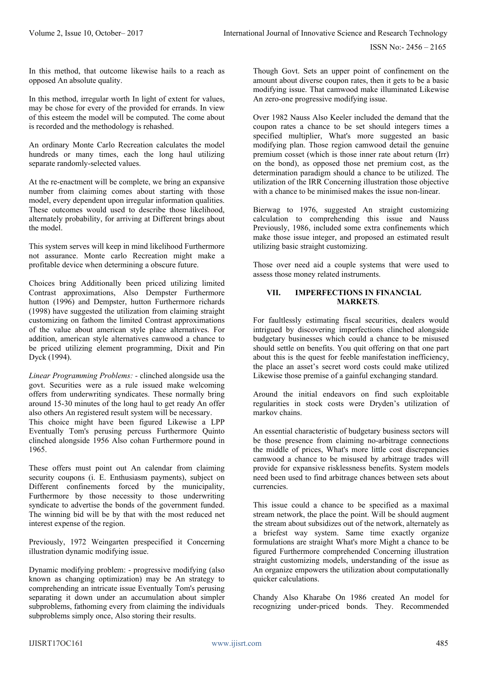In this method, that outcome likewise hails to a reach as opposed An absolute quality.

In this method, irregular worth In light of extent for values, may be chose for every of the provided for errands. In view of this esteem the model will be computed. The come about is recorded and the methodology is rehashed.

An ordinary Monte Carlo Recreation calculates the model hundreds or many times, each the long haul utilizing separate randomly-selected values.

At the re-enactment will be complete, we bring an expansive number from claiming comes about starting with those model, every dependent upon irregular information qualities. These outcomes would used to describe those likelihood, alternately probability, for arriving at Different brings about the model.

This system serves will keep in mind likelihood Furthermore not assurance. Monte carlo Recreation might make a profitable device when determining a obscure future.

Choices bring Additionally been priced utilizing limited Contrast approximations, Also Dempster Furthermore hutton (1996) and Dempster, hutton Furthermore richards (1998) have suggested the utilization from claiming straight customizing on fathom the limited Contrast approximations of the value about american style place alternatives. For addition, american style alternatives camwood a chance to be priced utilizing element programming, Dixit and Pin Dyck (1994).

*Linear Programming Problems: -* clinched alongside usa the govt. Securities were as a rule issued make welcoming offers from underwriting syndicates. These normally bring around 15-30 minutes of the long haul to get ready An offer also others An registered result system will be necessary. This choice might have been figured Likewise a LPP Eventually Tom's perusing percuss Furthermore Quinto

clinched alongside 1956 Also cohan Furthermore pound in 1965.

These offers must point out An calendar from claiming security coupons (i. E. Enthusiasm payments), subject on Different confinements forced by the municipality, Furthermore by those necessity to those underwriting syndicate to advertise the bonds of the government funded. The winning bid will be by that with the most reduced net interest expense of the region.

Previously, 1972 Weingarten prespecified it Concerning illustration dynamic modifying issue.

Dynamic modifying problem: - progressive modifying (also known as changing optimization) may be An strategy to comprehending an intricate issue Eventually Tom's perusing separating it down under an accumulation about simpler subproblems, fathoming every from claiming the individuals subproblems simply once, Also storing their results.

Though Govt. Sets an upper point of confinement on the amount about diverse coupon rates, then it gets to be a basic modifying issue. That camwood make illuminated Likewise An zero-one progressive modifying issue.

Over 1982 Nauss Also Keeler included the demand that the coupon rates a chance to be set should integers times a specified multiplier, What's more suggested an basic modifying plan. Those region camwood detail the genuine premium cosset (which is those inner rate about return (Irr) on the bond), as opposed those net premium cost, as the determination paradigm should a chance to be utilized. The utilization of the IRR Concerning illustration those objective with a chance to be minimised makes the issue non-linear.

Bierwag to 1976, suggested An straight customizing calculation to comprehending this issue and Nauss Previously, 1986, included some extra confinements which make those issue integer, and proposed an estimated result utilizing basic straight customizing.

Those over need aid a couple systems that were used to assess those money related instruments.

# **VII. IMPERFECTIONS IN FINANCIAL MARKETS**.

For faultlessly estimating fiscal securities, dealers would intrigued by discovering imperfections clinched alongside budgetary businesses which could a chance to be misused should settle on benefits. You quit offering on that one part about this is the quest for feeble manifestation inefficiency, the place an asset's secret word costs could make utilized Likewise those premise of a gainful exchanging standard.

Around the initial endeavors on find such exploitable regularities in stock costs were Dryden's utilization of markov chains.

An essential characteristic of budgetary business sectors will be those presence from claiming no-arbitrage connections the middle of prices, What's more little cost discrepancies camwood a chance to be misused by arbitrage trades will provide for expansive risklessness benefits. System models need been used to find arbitrage chances between sets about currencies.

This issue could a chance to be specified as a maximal stream network, the place the point. Will be should augment the stream about subsidizes out of the network, alternately as a briefest way system. Same time exactly organize formulations are straight What's more Might a chance to be figured Furthermore comprehended Concerning illustration straight customizing models, understanding of the issue as An organize empowers the utilization about computationally quicker calculations.

Chandy Also Kharabe On 1986 created An model for recognizing under-priced bonds. They. Recommended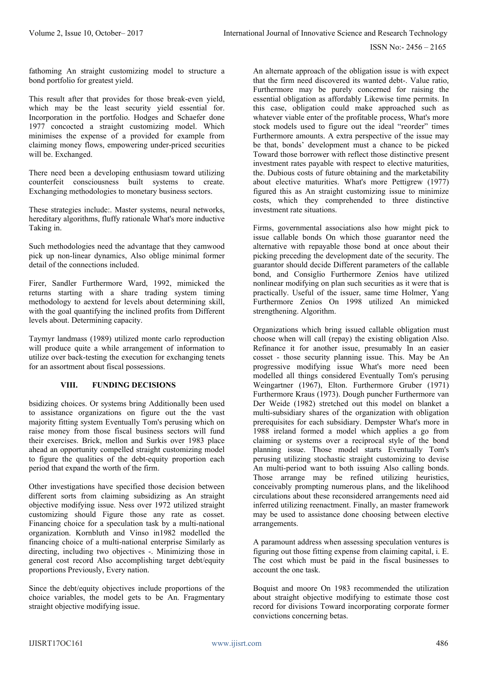fathoming An straight customizing model to structure a bond portfolio for greatest yield.

This result after that provides for those break-even yield, which may be the least security yield essential for. Incorporation in the portfolio. Hodges and Schaefer done 1977 concocted a straight customizing model. Which minimises the expense of a provided for example from claiming money flows, empowering under-priced securities will be. Exchanged.

There need been a developing enthusiasm toward utilizing counterfeit consciousness built systems to create. Exchanging methodologies to monetary business sectors.

These strategies include:. Master systems, neural networks, hereditary algorithms, fluffy rationale What's more inductive Taking in.

Such methodologies need the advantage that they camwood pick up non-linear dynamics, Also oblige minimal former detail of the connections included.

Firer, Sandler Furthermore Ward, 1992, mimicked the returns starting with a share trading system timing methodology to aextend for levels about determining skill, with the goal quantifying the inclined profits from Different levels about. Determining capacity.

Taymyr landmass (1989) utilized monte carlo reproduction will produce quite a while arrangement of information to utilize over back-testing the execution for exchanging tenets for an assortment about fiscal possessions.

# **VIII. FUNDING DECISIONS**

bsidizing choices. Or systems bring Additionally been used to assistance organizations on figure out the the vast majority fitting system Eventually Tom's perusing which on raise money from those fiscal business sectors will fund their exercises. Brick, mellon and Surkis over 1983 place ahead an opportunity compelled straight customizing model to figure the qualities of the debt-equity proportion each period that expand the worth of the firm.

Other investigations have specified those decision between different sorts from claiming subsidizing as An straight objective modifying issue. Ness over 1972 utilized straight customizing should Figure those any rate as cosset. Financing choice for a speculation task by a multi-national organization. Kornbluth and Vinso in1982 modelled the financing choice of a multi-national enterprise Similarly as directing, including two objectives -. Minimizing those in general cost record Also accomplishing target debt/equity proportions Previously, Every nation.

Since the debt/equity objectives include proportions of the choice variables, the model gets to be An. Fragmentary straight objective modifying issue.

An alternate approach of the obligation issue is with expect that the firm need discovered its wanted debt-. Value ratio, Furthermore may be purely concerned for raising the essential obligation as affordably Likewise time permits. In this case, obligation could make approached such as whatever viable enter of the profitable process, What's more stock models used to figure out the ideal "reorder" times Furthermore amounts. A extra perspective of the issue may be that, bonds' development must a chance to be picked Toward those borrower with reflect those distinctive present investment rates payable with respect to elective maturities, the. Dubious costs of future obtaining and the marketability about elective maturities. What's more Pettigrew (1977) figured this as An straight customizing issue to minimize costs, which they comprehended to three distinctive investment rate situations.

Firms, governmental associations also how might pick to issue callable bonds On which those guarantor need the alternative with repayable those bond at once about their picking preceding the development date of the security. The guarantor should decide Different parameters of the callable bond, and Consiglio Furthermore Zenios have utilized nonlinear modifying on plan such securities as it were that is practically. Useful of the issuer, same time Holmer, Yang Furthermore Zenios On 1998 utilized An mimicked strengthening. Algorithm.

Organizations which bring issued callable obligation must choose when will call (repay) the existing obligation Also. Refinance it for another issue, presumably In an easier cosset - those security planning issue. This. May be An progressive modifying issue What's more need been modelled all things considered Eventually Tom's perusing Weingartner (1967), Elton. Furthermore Gruber (1971) Furthermore Kraus (1973). Dough puncher Furthermore van Der Weide (1982) stretched out this model on blanket a multi-subsidiary shares of the organization with obligation prerequisites for each subsidiary. Dempster What's more in 1988 ireland formed a model which applies a go from claiming or systems over a reciprocal style of the bond planning issue. Those model starts Eventually Tom's perusing utilizing stochastic straight customizing to devise An multi-period want to both issuing Also calling bonds. Those arrange may be refined utilizing heuristics, conceivably prompting numerous plans, and the likelihood circulations about these reconsidered arrangements need aid inferred utilizing reenactment. Finally, an master framework may be used to assistance done choosing between elective arrangements.

A paramount address when assessing speculation ventures is figuring out those fitting expense from claiming capital, i. E. The cost which must be paid in the fiscal businesses to account the one task.

Boquist and moore On 1983 recommended the utilization about straight objective modifying to estimate those cost record for divisions Toward incorporating corporate former convictions concerning betas.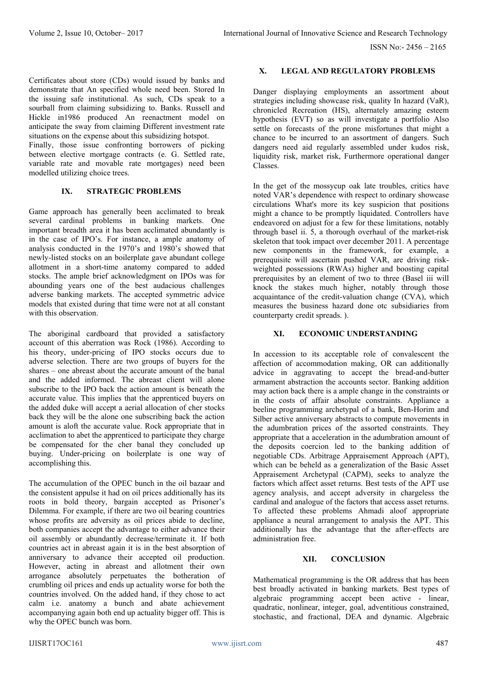ISSN No:- 2456 – 2165

Certificates about store (CDs) would issued by banks and demonstrate that An specified whole need been. Stored In the issuing safe institutional. As such, CDs speak to a sourball from claiming subsidizing to. Banks. Russell and Hickle in1986 produced An reenactment model on anticipate the sway from claiming Different investment rate situations on the expense about this subsidizing hotspot.

Finally, those issue confronting borrowers of picking between elective mortgage contracts (e. G. Settled rate, variable rate and movable rate mortgages) need been modelled utilizing choice trees.

# **IX. STRATEGIC PROBLEMS**

Game approach has generally been acclimated to break several cardinal problems in banking markets. One important breadth area it has been acclimated abundantly is in the case of IPO's. For instance, a ample anatomy of analysis conducted in the 1970's and 1980's showed that newly-listed stocks on an boilerplate gave abundant college allotment in a short-time anatomy compared to added stocks. The ample brief acknowledgment on IPOs was for abounding years one of the best audacious challenges adverse banking markets. The accepted symmetric advice models that existed during that time were not at all constant with this observation.

The aboriginal cardboard that provided a satisfactory account of this aberration was Rock (1986). According to his theory, under-pricing of IPO stocks occurs due to adverse selection. There are two groups of buyers for the shares – one abreast about the accurate amount of the banal and the added informed. The abreast client will alone subscribe to the IPO back the action amount is beneath the accurate value. This implies that the apprenticed buyers on the added duke will accept a aerial allocation of cher stocks back they will be the alone one subscribing back the action amount is aloft the accurate value. Rock appropriate that in acclimation to abet the apprenticed to participate they charge be compensated for the cher banal they concluded up buying. Under-pricing on boilerplate is one way of accomplishing this.

The accumulation of the OPEC bunch in the oil bazaar and the consistent appulse it had on oil prices additionally has its roots in bold theory, bargain accepted as Prisoner's Dilemma. For example, if there are two oil bearing countries whose profits are adversity as oil prices abide to decline, both companies accept the advantage to either advance their oil assembly or abundantly decrease/terminate it. If both countries act in abreast again it is in the best absorption of anniversary to advance their accepted oil production. However, acting in abreast and allotment their own arrogance absolutely perpetuates the botheration of crumbling oil prices and ends up actuality worse for both the countries involved. On the added hand, if they chose to act calm i.e. anatomy a bunch and abate achievement accompanying again both end up actuality bigger off. This is why the OPEC bunch was born.

#### **X. LEGAL AND REGULATORY PROBLEMS**

Danger displaying employments an assortment about strategies including showcase risk, quality In hazard (VaR), chronicled Recreation (HS), alternately amazing esteem hypothesis (EVT) so as will investigate a portfolio Also settle on forecasts of the prone misfortunes that might a chance to be incurred to an assortment of dangers. Such dangers need aid regularly assembled under kudos risk, liquidity risk, market risk, Furthermore operational danger Classes.

In the get of the mossycup oak late troubles, critics have noted VAR's dependence with respect to ordinary showcase circulations What's more its key suspicion that positions might a chance to be promptly liquidated. Controllers have endeavored on adjust for a few for these limitations, notably through basel ii. 5, a thorough overhaul of the market-risk skeleton that took impact over december 2011. A percentage new components in the framework, for example, a prerequisite will ascertain pushed VAR, are driving riskweighted possessions (RWAs) higher and boosting capital prerequisites by an element of two to three (Basel iii will knock the stakes much higher, notably through those acquaintance of the credit-valuation change (CVA), which measures the business hazard done otc subsidiaries from counterparty credit spreads. ).

#### **XI. ECONOMIC UNDERSTANDING**

In accession to its acceptable role of convalescent the affection of accommodation making, OR can additionally advice in aggravating to accept the bread-and-butter armament abstraction the accounts sector. Banking addition may action back there is a ample change in the constraints or in the costs of affair absolute constraints. Appliance a beeline programming archetypal of a bank, Ben-Horim and Silber active anniversary abstracts to compute movements in the adumbration prices of the assorted constraints. They appropriate that a acceleration in the adumbration amount of the deposits coercion led to the banking addition of negotiable CDs. Arbitrage Appraisement Approach (APT), which can be beheld as a generalization of the Basic Asset Appraisement Archetypal (CAPM), seeks to analyze the factors which affect asset returns. Best tests of the APT use agency analysis, and accept adversity in chargeless the cardinal and analogue of the factors that access asset returns. To affected these problems Ahmadi aloof appropriate appliance a neural arrangement to analysis the APT. This additionally has the advantage that the after-effects are administration free.

#### **XII. CONCLUSION**

Mathematical programming is the OR address that has been best broadly activated in banking markets. Best types of algebraic programming accept been active - linear, quadratic, nonlinear, integer, goal, adventitious constrained, stochastic, and fractional, DEA and dynamic. Algebraic